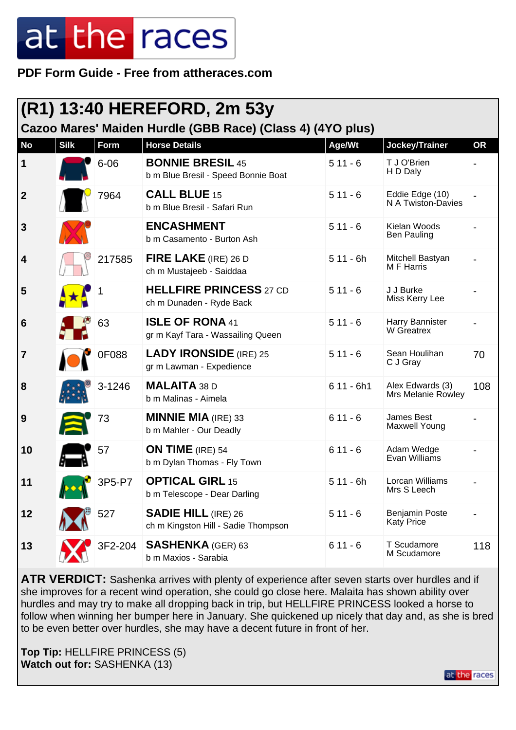**PDF Form Guide - Free from attheraces.com**

|                                                            |             |          | (R1) 13:40 HEREFORD, 2m 53y                                       |             |                                            |           |  |
|------------------------------------------------------------|-------------|----------|-------------------------------------------------------------------|-------------|--------------------------------------------|-----------|--|
| Cazoo Mares' Maiden Hurdle (GBB Race) (Class 4) (4YO plus) |             |          |                                                                   |             |                                            |           |  |
| <b>No</b>                                                  | <b>Silk</b> | Form     | <b>Horse Details</b>                                              | Age/Wt      | Jockey/Trainer                             | <b>OR</b> |  |
| $\vert$ 1                                                  |             | $6 - 06$ | <b>BONNIE BRESIL 45</b><br>b m Blue Bresil - Speed Bonnie Boat    | $511 - 6$   | T J O'Brien<br>H D Daly                    |           |  |
| $\overline{2}$                                             |             | 7964     | <b>CALL BLUE 15</b><br>b m Blue Bresil - Safari Run               | $511 - 6$   | Eddie Edge (10)<br>N A Twiston-Davies      |           |  |
| 3                                                          |             |          | <b>ENCASHMENT</b><br>b m Casamento - Burton Ash                   | $511 - 6$   | Kielan Woods<br><b>Ben Pauling</b>         |           |  |
| 4                                                          |             | 217585   | FIRE LAKE (IRE) 26 D<br>ch m Mustajeeb - Saiddaa                  | $511 - 6h$  | Mitchell Bastyan<br>M F Harris             |           |  |
| 5                                                          |             |          | <b>HELLFIRE PRINCESS 27 CD</b><br>ch m Dunaden - Ryde Back        | $511 - 6$   | J J Burke<br>Miss Kerry Lee                |           |  |
| $6\phantom{1}6$                                            |             | 63       | <b>ISLE OF RONA 41</b><br>gr m Kayf Tara - Wassailing Queen       | $511 - 6$   | Harry Bannister<br>W Greatrex              |           |  |
| $\overline{7}$                                             |             | 0F088    | <b>LADY IRONSIDE</b> (IRE) 25<br>gr m Lawman - Expedience         | $511 - 6$   | Sean Houlihan<br>C J Gray                  | 70        |  |
| 8                                                          |             | 3-1246   | <b>MALAITA 38 D</b><br>b m Malinas - Aimela                       | $611 - 6h1$ | Alex Edwards (3)<br>Mrs Melanie Rowley     | 108       |  |
| 9                                                          |             | 73       | <b>MINNIE MIA</b> (IRE) 33<br>b m Mahler - Our Deadly             | $611 - 6$   | James Best<br>Maxwell Young                |           |  |
| 10                                                         |             | 57       | ON TIME (IRE) 54<br>b m Dylan Thomas - Fly Town                   | $611 - 6$   | Adam Wedge<br>Evan Williams                |           |  |
| 11                                                         |             | 3P5-P7   | <b>OPTICAL GIRL 15</b><br>b m Telescope - Dear Darling            | $511 - 6h$  | Lorcan Williams<br>Mrs S Leech             |           |  |
| 12                                                         |             | 527      | <b>SADIE HILL (IRE) 26</b><br>ch m Kingston Hill - Sadie Thompson | $511 - 6$   | <b>Benjamin Poste</b><br><b>Katy Price</b> |           |  |
| 13                                                         |             | 3F2-204  | <b>SASHENKA (GER) 63</b><br>b m Maxios - Sarabia                  | $611 - 6$   | T Scudamore<br>M Scudamore                 | 118       |  |

**ATR VERDICT:** Sashenka arrives with plenty of experience after seven starts over hurdles and if she improves for a recent wind operation, she could go close here. Malaita has shown ability over hurdles and may try to make all dropping back in trip, but HELLFIRE PRINCESS looked a horse to follow when winning her bumper here in January. She quickened up nicely that day and, as she is bred to be even better over hurdles, she may have a decent future in front of her.

at the races

**Top Tip:** HELLFIRE PRINCESS (5) **Watch out for:** SASHENKA (13)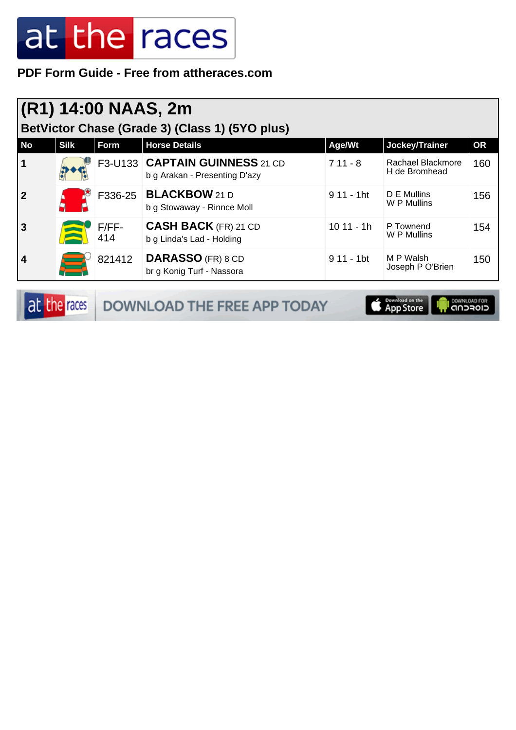#### **PDF Form Guide - Free from attheraces.com**

| (R1) 14:00 NAAS, 2m<br>BetVictor Chase (Grade 3) (Class 1) (5YO plus) |             |                |                                                                 |                         |                                    |           |  |  |
|-----------------------------------------------------------------------|-------------|----------------|-----------------------------------------------------------------|-------------------------|------------------------------------|-----------|--|--|
| <b>No</b>                                                             | <b>Silk</b> | Form           | <b>Horse Details</b>                                            | Age/Wt                  | Jockey/Trainer                     | <b>OR</b> |  |  |
| $\vert$ 1                                                             |             |                | F3-U133 CAPTAIN GUINNESS 21 CD<br>b g Arakan - Presenting D'azy | $711 - 8$               | Rachael Blackmore<br>H de Bromhead | 160       |  |  |
| $\overline{2}$                                                        |             | F336-25        | <b>BLACKBOW 21 D</b><br>b g Stowaway - Rinnce Moll              | $911 - 1$ ht            | D E Mullins<br>W P Mullins         | 156       |  |  |
| <b>3</b>                                                              |             | $F/FF-$<br>414 | <b>CASH BACK</b> (FR) 21 CD<br>b g Linda's Lad - Holding        | $1011 - 1h$             | P Townend<br>W P Mullins           | 154       |  |  |
| 4                                                                     |             | 821412         | <b>DARASSO</b> (FR) 8 CD<br>br g Konig Turf - Nassora           | $911 - 1$ <sub>bt</sub> | M P Walsh<br>Joseph P O'Brien      | 150       |  |  |

|  | <b>at the races DOWNLOAD THE FREE APP TODAY</b> | <b>Exampled on the Europe Community Property</b> |  |
|--|-------------------------------------------------|--------------------------------------------------|--|
|--|-------------------------------------------------|--------------------------------------------------|--|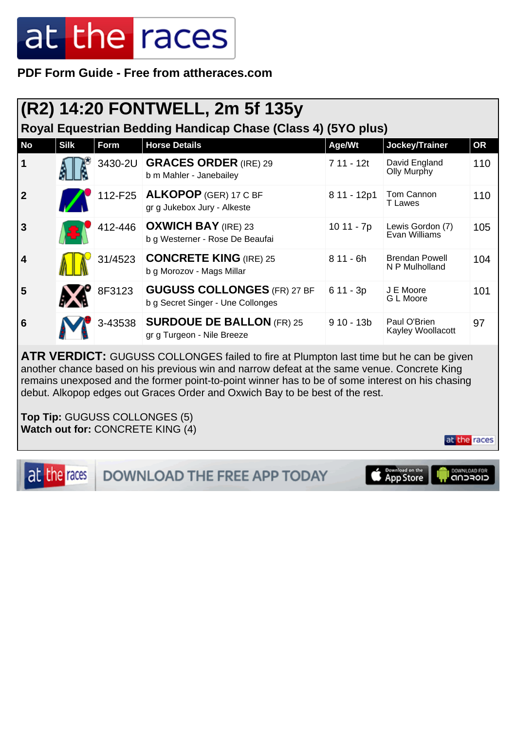**PDF Form Guide - Free from attheraces.com**

| (R2) 14:20 FONTWELL, 2m 5f 135y<br>Royal Equestrian Bedding Handicap Chase (Class 4) (5YO plus) |             |         |                                                                         |             |                                         |           |  |
|-------------------------------------------------------------------------------------------------|-------------|---------|-------------------------------------------------------------------------|-------------|-----------------------------------------|-----------|--|
| <b>No</b>                                                                                       | <b>Silk</b> | Form    | <b>Horse Details</b>                                                    | Age/Wt      | Jockey/Trainer                          | <b>OR</b> |  |
| 1                                                                                               |             |         | 3430-2U GRACES ORDER (IRE) 29<br>b m Mahler - Janebailey                | 7 11 - 12t  | David England<br>Olly Murphy            | 110       |  |
| $\overline{2}$                                                                                  |             |         | 112-F25 ALKOPOP (GER) 17 C BF<br>gr g Jukebox Jury - Alkeste            | 8 11 - 12p1 | Tom Cannon<br><b>T</b> Lawes            | 110       |  |
| $\overline{3}$                                                                                  |             |         | 412-446   OXWICH BAY (IRE) 23<br>b g Westerner - Rose De Beaufai        | 10 11 - 7p  | Lewis Gordon (7)<br>Evan Williams       | 105       |  |
| $\overline{\mathbf{4}}$                                                                         |             | 31/4523 | <b>CONCRETE KING (IRE) 25</b><br>b g Morozov - Mags Millar              | $811 - 6h$  | <b>Brendan Powell</b><br>N P Mulholland | 104       |  |
| 5                                                                                               |             | 8F3123  | <b>GUGUSS COLLONGES (FR) 27 BF</b><br>b g Secret Singer - Une Collonges | $611 - 3p$  | J E Moore<br>G L Moore                  | 101       |  |
| 6                                                                                               |             | 3-43538 | <b>SURDOUE DE BALLON (FR) 25</b><br>gr g Turgeon - Nile Breeze          | $910 - 13b$ | Paul O'Brien<br>Kayley Woollacott       | 97        |  |

**ATR VERDICT:** GUGUSS COLLONGES failed to fire at Plumpton last time but he can be given another chance based on his previous win and narrow defeat at the same venue. Concrete King remains unexposed and the former point-to-point winner has to be of some interest on his chasing debut. Alkopop edges out Graces Order and Oxwich Bay to be best of the rest.

**Top Tip:** GUGUSS COLLONGES (5) **Watch out for:** CONCRETE KING (4)

at the races

DOWNLOAD THE FREE APP TODAY

Download on the<br>App Store

at the races

DOWNLOAD FOR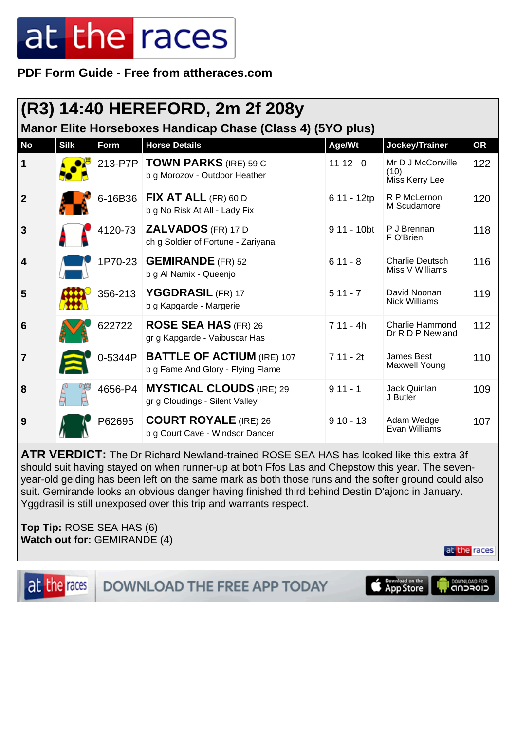**PDF Form Guide - Free from attheraces.com**

|                |             |             | (R3) 14:40 HEREFORD, 2m 2f 208y                                        |             |                                             |           |
|----------------|-------------|-------------|------------------------------------------------------------------------|-------------|---------------------------------------------|-----------|
|                |             |             | Manor Elite Horseboxes Handicap Chase (Class 4) (5YO plus)             |             |                                             |           |
| <b>No</b>      | <b>Silk</b> | <b>Form</b> | <b>Horse Details</b>                                                   | Age/Wt      | Jockey/Trainer                              | <b>OR</b> |
| 1              |             | 213-P7P     | <b>TOWN PARKS (IRE) 59 C</b><br>b g Morozov - Outdoor Heather          | $1112 - 0$  | Mr D J McConville<br>(10)<br>Miss Kerry Lee | 122       |
| $\mathbf{2}$   |             | 6-16B36     | FIX AT ALL $(FR)$ 60 D<br>b g No Risk At All - Lady Fix                | 6 11 - 12tp | R P McLernon<br>M Scudamore                 | 120       |
| 3              |             | 4120-73     | <b>ZALVADOS</b> (FR) 17 D<br>ch g Soldier of Fortune - Zariyana        | 9 11 - 10bt | P J Brennan<br>F O'Brien                    | 118       |
| 4              |             |             | 1P70-23 GEMIRANDE (FR) 52<br>b g Al Namix - Queenjo                    | $611 - 8$   | <b>Charlie Deutsch</b><br>Miss V Williams   | 116       |
| 5              |             | 356-213     | YGGDRASIL (FR) 17<br>b g Kapgarde - Margerie                           | $511 - 7$   | David Noonan<br><b>Nick Williams</b>        | 119       |
| 6              |             | 622722      | <b>ROSE SEA HAS (FR) 26</b><br>gr g Kapgarde - Vaibuscar Has           | $711 - 4h$  | Charlie Hammond<br>Dr R D P Newland         | 112       |
| $\overline{7}$ |             | 0-5344P     | <b>BATTLE OF ACTIUM (IRE) 107</b><br>b g Fame And Glory - Flying Flame | $711 - 2t$  | James Best<br><b>Maxwell Young</b>          | 110       |
| 8              |             | 4656-P4     | <b>MYSTICAL CLOUDS (IRE) 29</b><br>gr g Cloudings - Silent Valley      | $911 - 1$   | Jack Quinlan<br>J Butler                    | 109       |
| 9              |             | P62695      | <b>COURT ROYALE</b> (IRE) 26<br>b g Court Cave - Windsor Dancer        | $910 - 13$  | Adam Wedge<br>Evan Williams                 | 107       |

**ATR VERDICT:** The Dr Richard Newland-trained ROSE SEA HAS has looked like this extra 3f should suit having stayed on when runner-up at both Ffos Las and Chepstow this year. The sevenyear-old gelding has been left on the same mark as both those runs and the softer ground could also suit. Gemirande looks an obvious danger having finished third behind Destin D'ajonc in January. Yggdrasil is still unexposed over this trip and warrants respect.

**Top Tip:** ROSE SEA HAS (6) **Watch out for:** GEMIRANDE (4)

at the races **DOWNLOAD THE FREE APP TODAY** 



at the races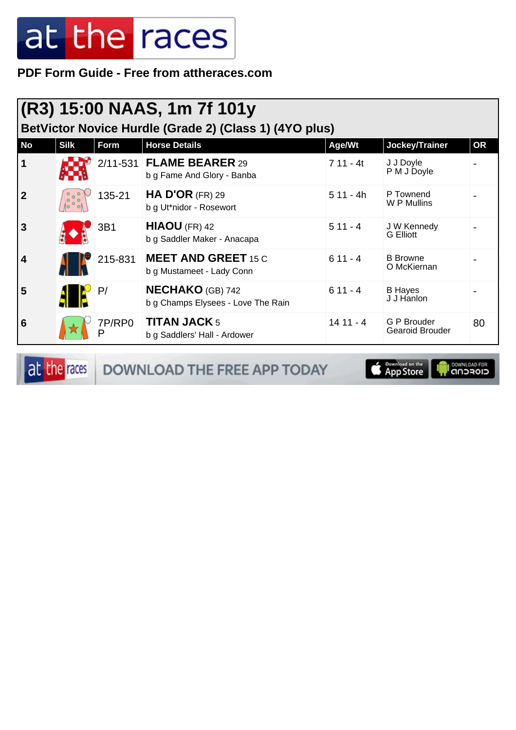**PDF Form Guide - Free from attheraces.com**

| (R3) 15:00 NAAS, 1m 7f 101y<br>BetVictor Novice Hurdle (Grade 2) (Class 1) (4YO plus) |                                  |             |                                                               |            |                                 |           |  |
|---------------------------------------------------------------------------------------|----------------------------------|-------------|---------------------------------------------------------------|------------|---------------------------------|-----------|--|
| <b>No</b>                                                                             | <b>Silk</b>                      | Form        | <b>Horse Details</b>                                          | Age/Wt     | Jockey/Trainer                  | <b>OR</b> |  |
| $\mathbf 1$                                                                           |                                  |             | 2/11-531 FLAME BEARER 29<br>b g Fame And Glory - Banba        | $711 - 4t$ | J J Doyle<br>P M J Doyle        |           |  |
| $\overline{2}$                                                                        | 10 <sup>o</sup><br>$\circ$<br>lο | 135-21      | <b>HA D'OR (FR) 29</b><br>b g Ut*nidor - Rosewort             | $511 - 4h$ | P Townend<br>W P Mullins        |           |  |
| $\overline{3}$                                                                        |                                  | 3B1         | HIAOU (FR) 42<br>b g Saddler Maker - Anacapa                  | $511 - 4$  | J W Kennedy<br><b>G</b> Elliott |           |  |
| 4                                                                                     |                                  | 215-831     | <b>MEET AND GREET 15 C</b><br>b g Mustameet - Lady Conn       | $611 - 4$  | <b>B</b> Browne<br>O McKiernan  |           |  |
| 5                                                                                     |                                  | P/          | <b>NECHAKO</b> (GB) 742<br>b g Champs Elysees - Love The Rain | $611 - 4$  | <b>B</b> Hayes<br>J J Hanlon    |           |  |
| 6                                                                                     |                                  | 7P/RP0<br>D | <b>TITAN JACK 5</b><br>b g Saddlers' Hall - Ardower           | $1411 - 4$ | G P Brouder<br>Gearoid Brouder  | 80        |  |

at the races DOWNLOAD THE FREE APP TODAY

App Store **OWNLOAD FOR**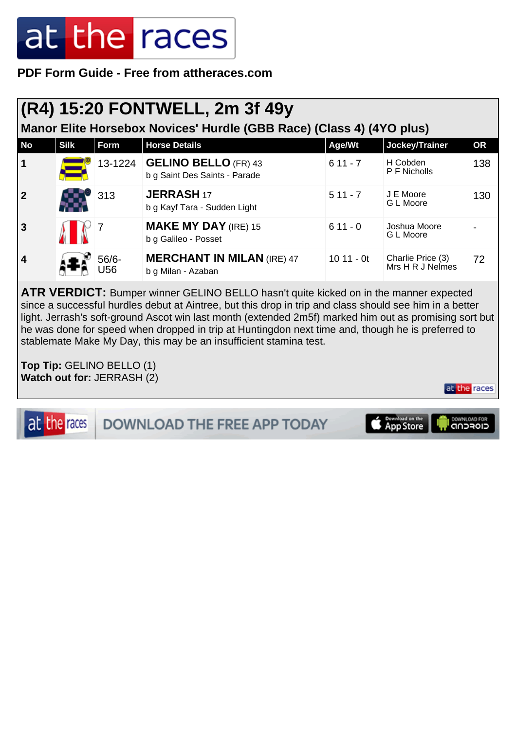**PDF Form Guide - Free from attheraces.com**

### **(R4) 15:20 FONTWELL, 2m 3f 49y**

**Manor Elite Horsebox Novices' Hurdle (GBB Race) (Class 4) (4YO plus)**

| <b>No</b>               | <b>Silk</b> | Form           | <b>Horse Details</b>                                         | Age/Wt      | Jockey/Trainer                        | <b>OR</b> |
|-------------------------|-------------|----------------|--------------------------------------------------------------|-------------|---------------------------------------|-----------|
| $\mathbf 1$             |             | 13-1224        | <b>GELINO BELLO (FR) 43</b><br>b g Saint Des Saints - Parade | $611 - 7$   | H Cobden<br>P F Nicholls              | 138       |
| $\overline{2}$          |             | 313            | <b>JERRASH 17</b><br>b g Kayf Tara - Sudden Light            | $511 - 7$   | J E Moore<br>G L Moore                | 130       |
| $\mathbf{3}$            |             |                | <b>MAKE MY DAY (IRE) 15</b><br>b g Galileo - Posset          | $611 - 0$   | Joshua Moore<br>G L Moore             |           |
| $\overline{\mathbf{4}}$ |             | $56/6-$<br>J56 | <b>MERCHANT IN MILAN (IRE) 47</b><br>b g Milan - Azaban      | $1011 - 0t$ | Charlie Price (3)<br>Mrs H R J Nelmes | 72        |

**ATR VERDICT:** Bumper winner GELINO BELLO hasn't quite kicked on in the manner expected since a successful hurdles debut at Aintree, but this drop in trip and class should see him in a better light. Jerrash's soft-ground Ascot win last month (extended 2m5f) marked him out as promising sort but he was done for speed when dropped in trip at Huntingdon next time and, though he is preferred to stablemate Make My Day, this may be an insufficient stamina test.

**Top Tip:** GELINO BELLO (1) **Watch out for:** JERRASH (2)

at the races

at the races DOWNLOAD THE FREE APP TODAY

Download on the

DOWNLOAD FOR